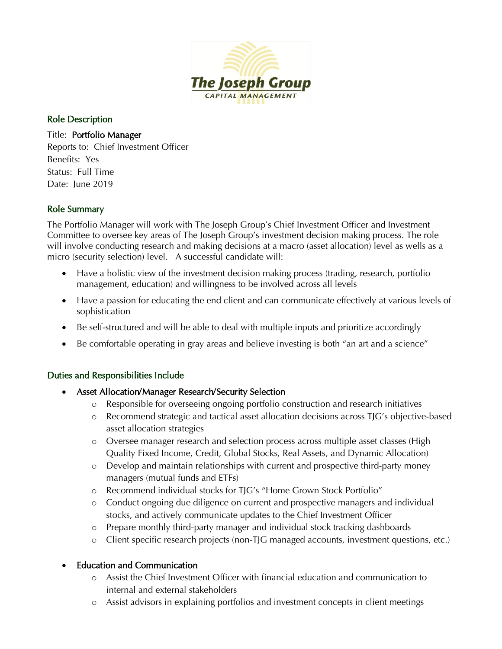

#### Role Description

Title: Portfolio Manager Reports to: Chief Investment Officer Benefits: Yes Status: Full Time Date: June 2019

### Role Summary

The Portfolio Manager will work with The Joseph Group's Chief Investment Officer and Investment Committee to oversee key areas of The Joseph Group's investment decision making process. The role will involve conducting research and making decisions at a macro (asset allocation) level as wells as a micro (security selection) level. A successful candidate will:

- Have a holistic view of the investment decision making process (trading, research, portfolio management, education) and willingness to be involved across all levels
- Have a passion for educating the end client and can communicate effectively at various levels of sophistication
- Be self-structured and will be able to deal with multiple inputs and prioritize accordingly
- Be comfortable operating in gray areas and believe investing is both "an art and a science"

# Duties and Responsibilities Include

- Asset Allocation/Manager Research/Security Selection
	- o Responsible for overseeing ongoing portfolio construction and research initiatives
	- o Recommend strategic and tactical asset allocation decisions across TJG's objective-based asset allocation strategies
	- o Oversee manager research and selection process across multiple asset classes (High Quality Fixed Income, Credit, Global Stocks, Real Assets, and Dynamic Allocation)
	- o Develop and maintain relationships with current and prospective third-party money managers (mutual funds and ETFs)
	- o Recommend individual stocks for TJG's "Home Grown Stock Portfolio"
	- o Conduct ongoing due diligence on current and prospective managers and individual stocks, and actively communicate updates to the Chief Investment Officer
	- o Prepare monthly third-party manager and individual stock tracking dashboards
	- o Client specific research projects (non-TJG managed accounts, investment questions, etc.)

# • Education and Communication

- o Assist the Chief Investment Officer with financial education and communication to internal and external stakeholders
- o Assist advisors in explaining portfolios and investment concepts in client meetings